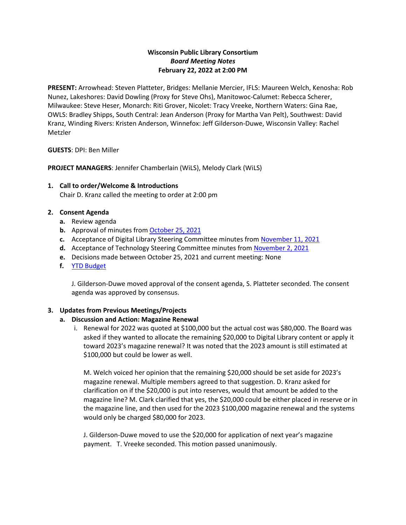## **Wisconsin Public Library Consortium** *Board Meeting Notes* **February 22, 2022 at 2:00 PM**

**PRESENT:** Arrowhead: Steven Platteter, Bridges: Mellanie Mercier, IFLS: Maureen Welch, Kenosha: Rob Nunez, Lakeshores: David Dowling (Proxy for Steve Ohs), Manitowoc-Calumet: Rebecca Scherer, Milwaukee: Steve Heser, Monarch: Riti Grover, Nicolet: Tracy Vreeke, Northern Waters: Gina Rae, OWLS: Bradley Shipps, South Central: Jean Anderson (Proxy for Martha Van Pelt), Southwest: David Kranz, Winding Rivers: Kristen Anderson, Winnefox: Jeff Gilderson-Duwe, Wisconsin Valley: Rachel Metzler

**GUESTS**: DPI: Ben Miller

**PROJECT MANAGERS**: Jennifer Chamberlain (WiLS), Melody Clark (WiLS)

**1. Call to order/Welcome & Introductions** Chair D. Kranz called the meeting to order at 2:00 pm

## **2. Consent Agenda**

- **a.** Review agenda
- **b.** Approval of minutes from [October 25, 2021](https://wplc.info/sites/wplc.info/files/10-25-2021%20WPLC%20Board%20Meeting%20Notes.pdf)
- **c.** Acceptance of Digital Library Steering Committee minutes from [November 11, 2021](https://wplc.info/sites/wplc.info/files/training/11-11-2021%20WPLC%20Steering%20Notes.pdf)
- **d.** Acceptance of Technology Steering Committee minutes from [November 2, 2021](https://wplc.info/sites/wplc.info/files/11-02-2021%20WPLC%20Technology%20Steering%20Committee%20Notes.pdf)
- **e.** Decisions made between October 25, 2021 and current meeting: None
- **f.** [YTD Budget](https://wplc.info/sites/wplc.info/files/2022.01.31%20(with%20no%20carryover).xlsx)

J. Gilderson-Duwe moved approval of the consent agenda, S. Platteter seconded. The consent agenda was approved by consensus.

### **3. Updates from Previous Meetings/Projects**

# **a. Discussion and Action: Magazine Renewal**

i. Renewal for 2022 was quoted at \$100,000 but the actual cost was \$80,000. The Board was asked if they wanted to allocate the remaining \$20,000 to Digital Library content or apply it toward 2023's magazine renewal? It was noted that the 2023 amount is still estimated at \$100,000 but could be lower as well.

M. Welch voiced her opinion that the remaining \$20,000 should be set aside for 2023's magazine renewal. Multiple members agreed to that suggestion. D. Kranz asked for clarification on if the \$20,000 is put into reserves, would that amount be added to the magazine line? M. Clark clarified that yes, the \$20,000 could be either placed in reserve or in the magazine line, and then used for the 2023 \$100,000 magazine renewal and the systems would only be charged \$80,000 for 2023.

J. Gilderson-Duwe moved to use the \$20,000 for application of next year's magazine payment. T. Vreeke seconded. This motion passed unanimously.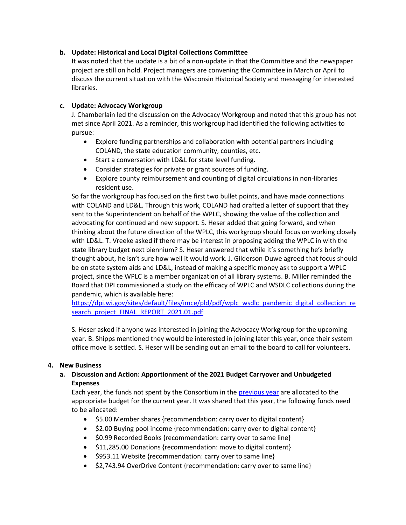## **b. Update: Historical and Local Digital Collections Committee**

It was noted that the update is a bit of a non-update in that the Committee and the newspaper project are still on hold. Project managers are convening the Committee in March or April to discuss the current situation with the Wisconsin Historical Society and messaging for interested libraries.

## **c. Update: Advocacy Workgroup**

J. Chamberlain led the discussion on the Advocacy Workgroup and noted that this group has not met since April 2021. As a reminder, this workgroup had identified the following activities to pursue:

- Explore funding partnerships and collaboration with potential partners including COLAND, the state education community, counties, etc.
- Start a conversation with LD&L for state level funding.
- Consider strategies for private or grant sources of funding.
- Explore county reimbursement and counting of digital circulations in non-libraries resident use.

So far the workgroup has focused on the first two bullet points, and have made connections with COLAND and LD&L. Through this work, COLAND had drafted a letter of support that they sent to the Superintendent on behalf of the WPLC, showing the value of the collection and advocating for continued and new support. S. Heser added that going forward, and when thinking about the future direction of the WPLC, this workgroup should focus on working closely with LD&L. T. Vreeke asked if there may be interest in proposing adding the WPLC in with the state library budget next biennium? S. Heser answered that while it's something he's briefly thought about, he isn't sure how well it would work. J. Gilderson-Duwe agreed that focus should be on state system aids and LD&L, instead of making a specific money ask to support a WPLC project, since the WPLC is a member organization of all library systems. B. Miller reminded the Board that DPI commissioned a study on the efficacy of WPLC and WSDLC collections during the pandemic, which is available here:

[https://dpi.wi.gov/sites/default/files/imce/pld/pdf/wplc\\_wsdlc\\_pandemic\\_digital\\_collection\\_re](https://dpi.wi.gov/sites/default/files/imce/pld/pdf/wplc_wsdlc_pandemic_digital_collection_research_project_FINAL_REPORT_2021.01.pdf) [search\\_project\\_FINAL\\_REPORT\\_2021.01.pdf](https://dpi.wi.gov/sites/default/files/imce/pld/pdf/wplc_wsdlc_pandemic_digital_collection_research_project_FINAL_REPORT_2021.01.pdf)

S. Heser asked if anyone was interested in joining the Advocacy Workgroup for the upcoming year. B. Shipps mentioned they would be interested in joining later this year, once their system office move is settled. S. Heser will be sending out an email to the board to call for volunteers.

### **4. New Business**

# **a. Discussion and Action: Apportionment of the 2021 Budget Carryover and Unbudgeted Expenses**

Each year, the funds not spent by the Consortium in the [previous year](https://wplc.info/sites/wplc.info/files/2021%20Final%20YTD%20(draft).xlsx) are allocated to the appropriate budget for the current year. It was shared that this year, the following funds need to be allocated:

- \$5.00 Member shares {recommendation: carry over to digital content}
- \$2.00 Buying pool income {recommendation: carry over to digital content}
- \$0.99 Recorded Books {recommendation: carry over to same line}
- \$11,285.00 Donations {recommendation: move to digital content}
- \$953.11 Website {recommendation: carry over to same line}
- \$2,743.94 OverDrive Content {recommendation: carry over to same line}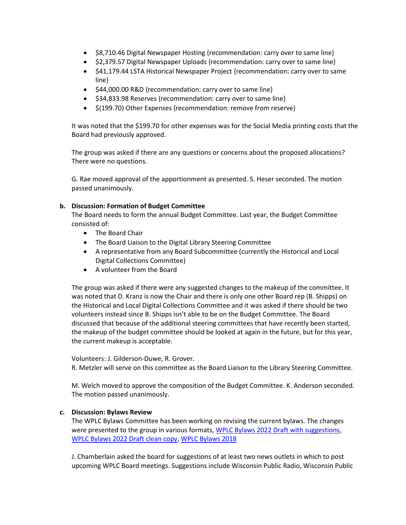- \$8,710.46 Digital Newspaper Hosting {recommendation: carry over to same line}
- \$2,379.57 Digital Newspaper Uploads {recommendation: carry over to same line}
- \$41,179.44 LSTA Historical Newspaper Project {recommendation: carry over to same line}
- \$44,000.00 R&D {recommendation: carry over to same line}
- \$34,833.98 Reserves {recommendation: carry over to same line}
- \$(199.70) Other Expenses {recommendation: remove from reserve}

It was noted that the \$199.70 for other expenses was for the Social Media printing costs that the Board had previously approved.

The group was asked if there are any questions or concerns about the proposed allocations? There were no questions.

G. Rae moved approval of the apportionment as presented. S. Heser seconded. The motion passed unanimously.

### **b. Discussion: Formation of Budget Committee**

The Board needs to form the annual Budget Committee. Last year, the Budget Committee consisted of:

- The Board Chair
- The Board Liaison to the Digital Library Steering Committee
- A representative from any Board Subcommittee (currently the Historical and Local Digital Collections Committee)
- A volunteer from the Board

The group was asked if there were any suggested changes to the makeup of the committee. It was noted that D. Kranz is now the Chair and there is only one other Board rep (B. Shipps) on the Historical and Local Digital Collections Committee and it was asked if there should be two volunteers instead since B. Shipps isn't able to be on the Budget Committee. The Board discussed that because of the additional steering committees that have recently been started, the makeup of the budget committee should be looked at again in the future, but for this year, the current makeup is acceptable.

Volunteers: J. Gilderson-Duwe, R. Grover.

R. Metzler will serve on this committee as the Board Liaison to the Library Steering Committee.

M. Welch moved to approve the composition of the Budget Committee. K. Anderson seconded. The motion passed unanimously.

### **c. Discussion: Bylaws Review**

The WPLC Bylaws Committee has been working on revising the current bylaws. The changes were presented to the group in various formats, [WPLC Bylaws 2022 Draft](https://wplc.info/sites/wplc.info/files/WPLC%20bylaws%20-%202022%20with%20recommended%20changes.pdf) with suggestions, [WPLC Bylaws 2022 Draft clean copy,](https://wplc.info/sites/wplc.info/files/WPLC%20bylaws%202021-2022%20Clean%20Copy.pdf) [WPLC Bylaws 2018](https://wplc.info/sites/wplc.info/files/WPLC%20Bylaws%202018-2_0.pdf)

J. Chamberlain asked the board for suggestions of at least two news outlets in which to post upcoming WPLC Board meetings. Suggestions include Wisconsin Public Radio, Wisconsin Public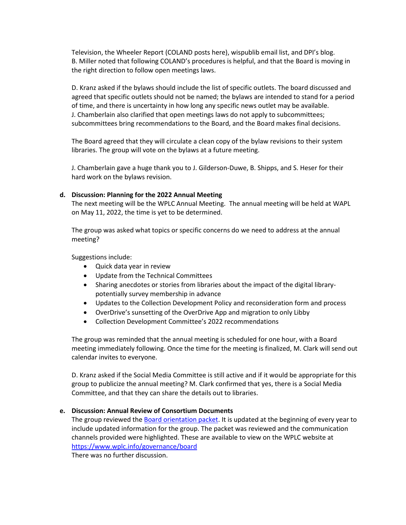Television, the Wheeler Report (COLAND posts here), wispublib email list, and DPI's blog. B. Miller noted that following COLAND's procedures is helpful, and that the Board is moving in the right direction to follow open meetings laws.

D. Kranz asked if the bylaws should include the list of specific outlets. The board discussed and agreed that specific outlets should not be named; the bylaws are intended to stand for a period of time, and there is uncertainty in how long any specific news outlet may be available. J. Chamberlain also clarified that open meetings laws do not apply to subcommittees; subcommittees bring recommendations to the Board, and the Board makes final decisions.

The Board agreed that they will circulate a clean copy of the bylaw revisions to their system libraries. The group will vote on the bylaws at a future meeting.

J. Chamberlain gave a huge thank you to J. Gilderson-Duwe, B. Shipps, and S. Heser for their hard work on the bylaws revision.

#### **d. Discussion: Planning for the 2022 Annual Meeting**

The next meeting will be the WPLC Annual Meeting. The annual meeting will be held at WAPL on May 11, 2022, the time is yet to be determined.

The group was asked what topics or specific concerns do we need to address at the annual meeting?

Suggestions include:

- Quick data year in review
- Update from the Technical Committees
- Sharing anecdotes or stories from libraries about the impact of the digital librarypotentially survey membership in advance
- Updates to the Collection Development Policy and reconsideration form and process
- OverDrive's sunsetting of the OverDrive App and migration to only Libby
- Collection Development Committee's 2022 recommendations

The group was reminded that the annual meeting is scheduled for one hour, with a Board meeting immediately following. Once the time for the meeting is finalized, M. Clark will send out calendar invites to everyone.

D. Kranz asked if the Social Media Committee is still active and if it would be appropriate for this group to publicize the annual meeting? M. Clark confirmed that yes, there is a Social Media Committee, and that they can share the details out to libraries.

### **e. Discussion: Annual Review of Consortium Documents**

The group reviewed the [Board orientation packet.](https://wplc.info/sites/wplc.info/files/WPLC%20Board%20Orientation%20Packet%202022.pdf) It is updated at the beginning of every year to include updated information for the group. The packet was reviewed and the communication channels provided were highlighted. These are available to view on the WPLC website at <https://www.wplc.info/governance/board>

There was no further discussion.